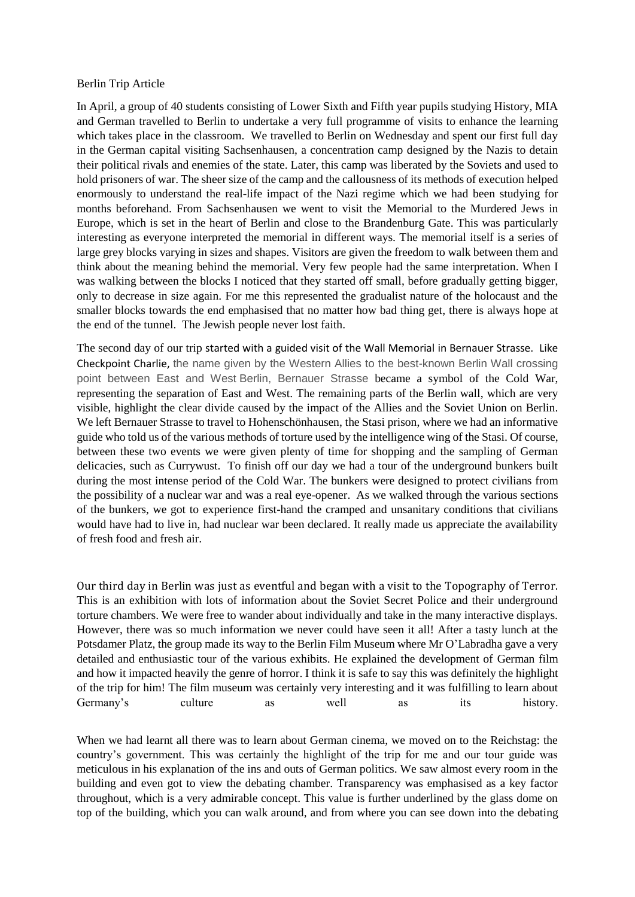## Berlin Trip Article

In April, a group of 40 students consisting of Lower Sixth and Fifth year pupils studying History, MIA and German travelled to Berlin to undertake a very full programme of visits to enhance the learning which takes place in the classroom. We travelled to Berlin on Wednesday and spent our first full day in the German capital visiting Sachsenhausen, a concentration camp designed by the Nazis to detain their political rivals and enemies of the state. Later, this camp was liberated by the Soviets and used to hold prisoners of war. The sheer size of the camp and the callousness of its methods of execution helped enormously to understand the real-life impact of the Nazi regime which we had been studying for months beforehand. From Sachsenhausen we went to visit the Memorial to the Murdered Jews in Europe, which is set in the heart of Berlin and close to the Brandenburg Gate. This was particularly interesting as everyone interpreted the memorial in different ways. The memorial itself is a series of large grey blocks varying in sizes and shapes. Visitors are given the freedom to walk between them and think about the meaning behind the memorial. Very few people had the same interpretation. When I was walking between the blocks I noticed that they started off small, before gradually getting bigger, only to decrease in size again. For me this represented the gradualist nature of the holocaust and the smaller blocks towards the end emphasised that no matter how bad thing get, there is always hope at the end of the tunnel. The Jewish people never lost faith.

The second day of our trip started with a guided visit of the Wall Memorial in Bernauer Strasse. Like Checkpoint Charlie, the name given by the Western Allies to the best-known Berlin Wall crossing point between East and West Berlin, Bernauer Strasse became a symbol of the Cold War, representing the separation of East and West. The remaining parts of the Berlin wall, which are very visible, highlight the clear divide caused by the impact of the Allies and the Soviet Union on Berlin. We left Bernauer Strasse to travel to Hohenschönhausen, the Stasi prison, where we had an informative guide who told us of the various methods of torture used by the intelligence wing of the Stasi. Of course, between these two events we were given plenty of time for shopping and the sampling of German delicacies, such as Currywust. To finish off our day we had a tour of the underground bunkers built during the most intense period of the Cold War. The bunkers were designed to protect civilians from the possibility of a nuclear war and was a real eye-opener. As we walked through the various sections of the bunkers, we got to experience first-hand the cramped and unsanitary conditions that civilians would have had to live in, had nuclear war been declared. It really made us appreciate the availability of fresh food and fresh air.

Our third day in Berlin was just as eventful and began with a visit to the Topography of Terror. This is an exhibition with lots of information about the Soviet Secret Police and their underground torture chambers. We were free to wander about individually and take in the many interactive displays. However, there was so much information we never could have seen it all! After a tasty lunch at the Potsdamer Platz, the group made its way to the Berlin Film Museum where Mr O'Labradha gave a very detailed and enthusiastic tour of the various exhibits. He explained the development of German film and how it impacted heavily the genre of horror. I think it is safe to say this was definitely the highlight of the trip for him! The film museum was certainly very interesting and it was fulfilling to learn about Germany's culture as well as its history.

When we had learnt all there was to learn about German cinema, we moved on to the Reichstag: the country's government. This was certainly the highlight of the trip for me and our tour guide was meticulous in his explanation of the ins and outs of German politics. We saw almost every room in the building and even got to view the debating chamber. Transparency was emphasised as a key factor throughout, which is a very admirable concept. This value is further underlined by the glass dome on top of the building, which you can walk around, and from where you can see down into the debating